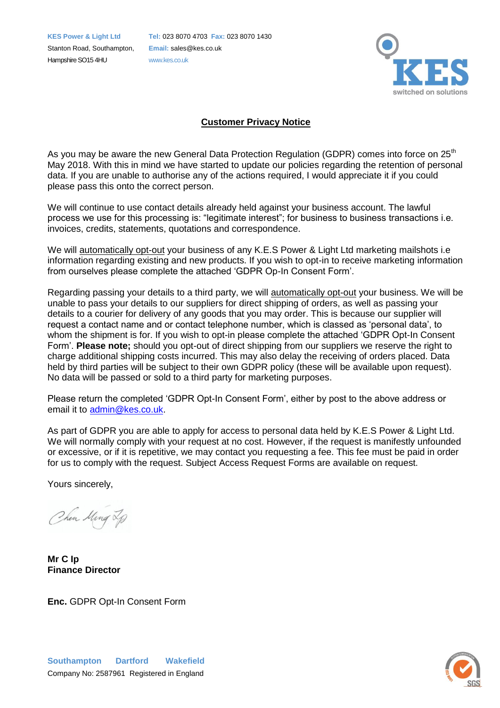Stanton Road, Southampton, **Email:** sales@kes.co.uk Hampshire SO15 4HU www.kes.co.uk

**KES Power & Light Ltd Tel:** 023 8070 4703 **Fax:** 023 8070 1430



## **Customer Privacy Notice**

As you may be aware the new General Data Protection Regulation (GDPR) comes into force on 25<sup>th</sup> May 2018. With this in mind we have started to update our policies regarding the retention of personal data. If you are unable to authorise any of the actions required, I would appreciate it if you could please pass this onto the correct person.

We will continue to use contact details already held against your business account. The lawful process we use for this processing is: "legitimate interest"; for business to business transactions i.e. invoices, credits, statements, quotations and correspondence.

We will automatically opt-out your business of any K.E.S Power & Light Ltd marketing mailshots i.e information regarding existing and new products. If you wish to opt-in to receive marketing information from ourselves please complete the attached 'GDPR Op-In Consent Form'.

Regarding passing your details to a third party, we will automatically opt-out your business. We will be unable to pass your details to our suppliers for direct shipping of orders, as well as passing your details to a courier for delivery of any goods that you may order. This is because our supplier will request a contact name and or contact telephone number, which is classed as 'personal data', to whom the shipment is for. If you wish to opt-in please complete the attached 'GDPR Opt-In Consent Form'. **Please note;** should you opt-out of direct shipping from our suppliers we reserve the right to charge additional shipping costs incurred. This may also delay the receiving of orders placed. Data held by third parties will be subject to their own GDPR policy (these will be available upon request). No data will be passed or sold to a third party for marketing purposes.

Please return the completed 'GDPR Opt-In Consent Form', either by post to the above address or email it to [admin@kes.co.uk.](mailto:admin@kes.co.uk)

As part of GDPR you are able to apply for access to personal data held by K.E.S Power & Light Ltd. We will normally comply with your request at no cost. However, if the request is manifestly unfounded or excessive, or if it is repetitive, we may contact you requesting a fee. This fee must be paid in order for us to comply with the request. Subject Access Request Forms are available on request.

Yours sincerely,

Chen Ming 2p

**Mr C Ip Finance Director**

**Enc.** GDPR Opt-In Consent Form